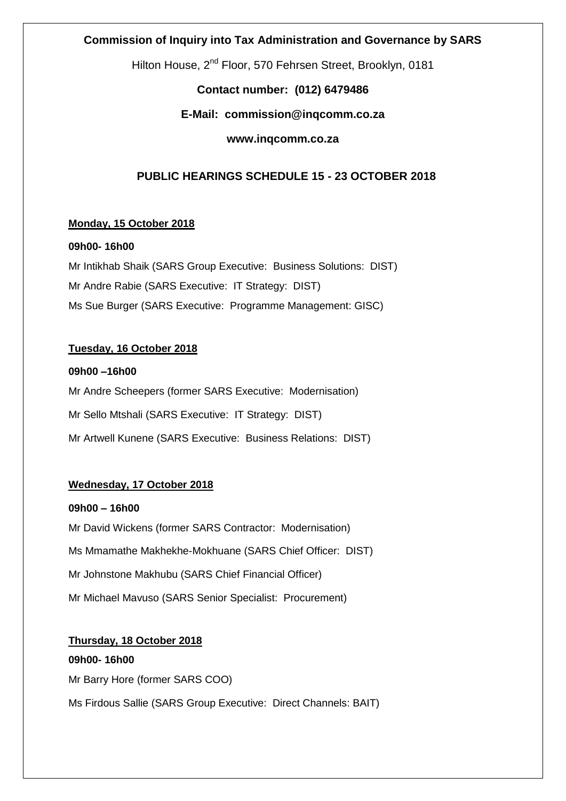## **Commission of Inquiry into Tax Administration and Governance by SARS**

Hilton House, 2<sup>nd</sup> Floor, 570 Fehrsen Street, Brooklyn, 0181

# **Contact number: (012) 6479486**

# **E-Mail: commission@inqcomm.co.za**

## **www.inqcomm.co.za**

# **PUBLIC HEARINGS SCHEDULE 15 - 23 OCTOBER 2018**

## **Monday, 15 October 2018**

### **09h00- 16h00**

Mr Intikhab Shaik (SARS Group Executive: Business Solutions: DIST) Mr Andre Rabie (SARS Executive: IT Strategy: DIST) Ms Sue Burger (SARS Executive: Programme Management: GISC)

## **Tuesday, 16 October 2018**

### **09h00 –16h00**

Mr Andre Scheepers (former SARS Executive: Modernisation) Mr Sello Mtshali (SARS Executive: IT Strategy: DIST) Mr Artwell Kunene (SARS Executive: Business Relations: DIST)

## **Wednesday, 17 October 2018**

**09h00 – 16h00** Mr David Wickens (former SARS Contractor: Modernisation) Ms Mmamathe Makhekhe-Mokhuane (SARS Chief Officer: DIST) Mr Johnstone Makhubu (SARS Chief Financial Officer) Mr Michael Mavuso (SARS Senior Specialist: Procurement)

**Thursday, 18 October 2018 09h00- 16h00** Mr Barry Hore (former SARS COO) Ms Firdous Sallie (SARS Group Executive: Direct Channels: BAIT)